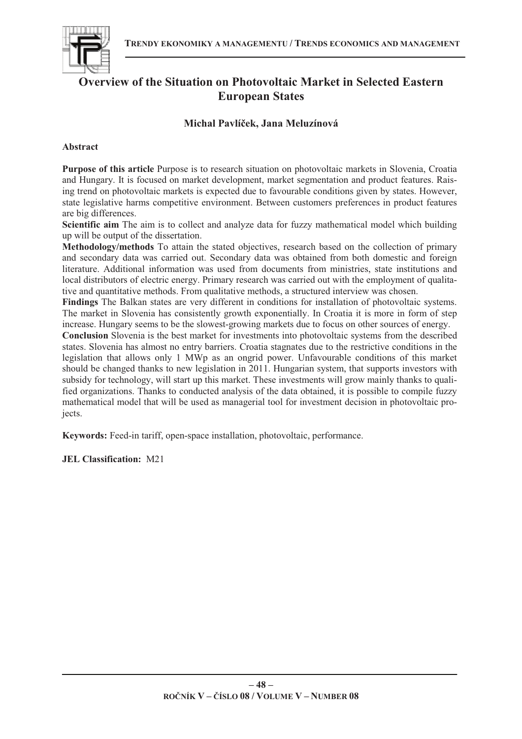

# **Overview of the Situation on Photovoltaic Market in Selected Eastern European States**

# **Michal Pavlí-ek, Jana Meluzínová**

## **Abstract**

**Purpose of this article** Purpose is to research situation on photovoltaic markets in Slovenia, Croatia and Hungary. It is focused on market development, market segmentation and product features. Raising trend on photovoltaic markets is expected due to favourable conditions given by states. However, state legislative harms competitive environment. Between customers preferences in product features are big differences.

**Scientific aim** The aim is to collect and analyze data for fuzzy mathematical model which building up will be output of the dissertation.

**Methodology/methods** To attain the stated objectives, research based on the collection of primary and secondary data was carried out. Secondary data was obtained from both domestic and foreign literature. Additional information was used from documents from ministries, state institutions and local distributors of electric energy. Primary research was carried out with the employment of qualitative and quantitative methods. From qualitative methods, a structured interview was chosen.

**Findings** The Balkan states are very different in conditions for installation of photovoltaic systems. The market in Slovenia has consistently growth exponentially. In Croatia it is more in form of step increase. Hungary seems to be the slowest-growing markets due to focus on other sources of energy.

**Conclusion** Slovenia is the best market for investments into photovoltaic systems from the described states. Slovenia has almost no entry barriers. Croatia stagnates due to the restrictive conditions in the legislation that allows only 1 MWp as an ongrid power. Unfavourable conditions of this market should be changed thanks to new legislation in 2011. Hungarian system, that supports investors with subsidy for technology, will start up this market. These investments will grow mainly thanks to qualified organizations. Thanks to conducted analysis of the data obtained, it is possible to compile fuzzy mathematical model that will be used as managerial tool for investment decision in photovoltaic projects.

**Keywords:** Feed-in tariff, open-space installation, photovoltaic, performance.

**JEL Classification:** M21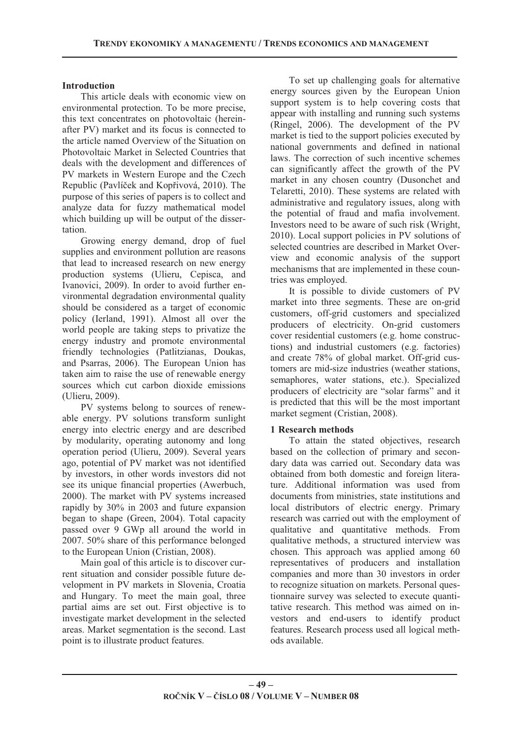#### **Introduction**

This article deals with economic view on environmental protection. To be more precise, this text concentrates on photovoltaic (hereinafter PV) market and its focus is connected to the article named Overview of the Situation on Photovoltaic Market in Selected Countries that deals with the development and differences of PV markets in Western Europe and the Czech Republic (Pavlíček and Kopřivová, 2010). The purpose of this series of papers is to collect and analyze data for fuzzy mathematical model which building up will be output of the dissertation.

Growing energy demand, drop of fuel supplies and environment pollution are reasons that lead to increased research on new energy production systems (Ulieru, Cepisca, and Ivanovici, 2009). In order to avoid further environmental degradation environmental quality should be considered as a target of economic policy (Ierland, 1991). Almost all over the world people are taking steps to privatize the energy industry and promote environmental friendly technologies (Patlitzianas, Doukas, and Psarras, 2006). The European Union has taken aim to raise the use of renewable energy sources which cut carbon dioxide emissions (Ulieru, 2009).

PV systems belong to sources of renewable energy. PV solutions transform sunlight energy into electric energy and are described by modularity, operating autonomy and long operation period (Ulieru, 2009). Several years ago, potential of PV market was not identified by investors, in other words investors did not see its unique financial properties (Awerbuch, 2000). The market with PV systems increased rapidly by 30% in 2003 and future expansion began to shape (Green, 2004). Total capacity passed over 9 GWp all around the world in 2007. 50% share of this performance belonged to the European Union (Cristian, 2008).

Main goal of this article is to discover current situation and consider possible future development in PV markets in Slovenia, Croatia and Hungary. To meet the main goal, three partial aims are set out. First objective is to investigate market development in the selected areas. Market segmentation is the second. Last point is to illustrate product features.

To set up challenging goals for alternative energy sources given by the European Union support system is to help covering costs that appear with installing and running such systems (Ringel, 2006). The development of the PV market is tied to the support policies executed by national governments and defined in national laws. The correction of such incentive schemes can significantly affect the growth of the PV market in any chosen country (Dusonchet and Telaretti, 2010). These systems are related with administrative and regulatory issues, along with the potential of fraud and mafia involvement. Investors need to be aware of such risk (Wright, 2010). Local support policies in PV solutions of selected countries are described in Market Overview and economic analysis of the support mechanisms that are implemented in these countries was employed.

It is possible to divide customers of PV market into three segments. These are on-grid customers, off-grid customers and specialized producers of electricity. On-grid customers cover residential customers (e.g. home constructions) and industrial customers (e.g. factories) and create 78% of global market. Off-grid customers are mid-size industries (weather stations, semaphores, water stations, etc.). Specialized producers of electricity are "solar farms" and it is predicted that this will be the most important market segment (Cristian, 2008).

## **1 Research methods**

To attain the stated objectives, research based on the collection of primary and secondary data was carried out. Secondary data was obtained from both domestic and foreign literature. Additional information was used from documents from ministries, state institutions and local distributors of electric energy. Primary research was carried out with the employment of qualitative and quantitative methods. From qualitative methods, a structured interview was chosen. This approach was applied among 60 representatives of producers and installation companies and more than 30 investors in order to recognize situation on markets. Personal questionnaire survey was selected to execute quantitative research. This method was aimed on investors and end-users to identify product features. Research process used all logical methods available.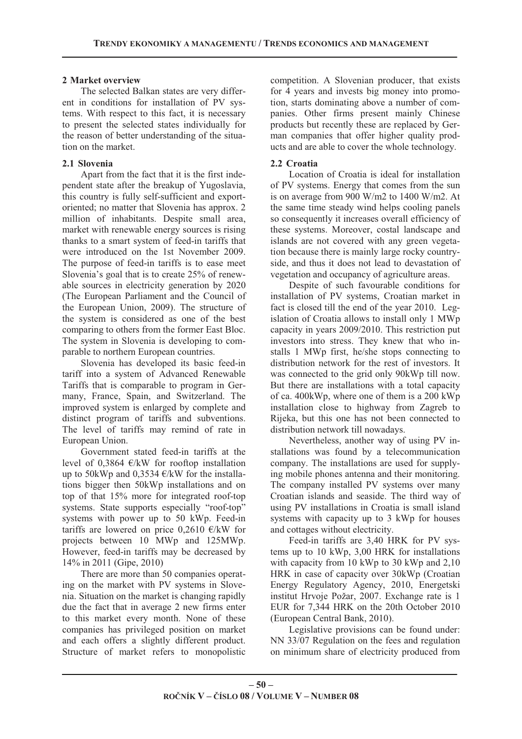## **2 Market overview**

The selected Balkan states are very different in conditions for installation of PV systems. With respect to this fact, it is necessary to present the selected states individually for the reason of better understanding of the situation on the market.

# **2.1 Slovenia**

Apart from the fact that it is the first independent state after the breakup of Yugoslavia, this country is fully self-sufficient and exportoriented; no matter that Slovenia has approx. 2 million of inhabitants. Despite small area, market with renewable energy sources is rising thanks to a smart system of feed-in tariffs that were introduced on the 1st November 2009. The purpose of feed-in tariffs is to ease meet Slovenia's goal that is to create 25% of renewable sources in electricity generation by 2020 (The European Parliament and the Council of the European Union, 2009). The structure of the system is considered as one of the best comparing to others from the former East Bloc. The system in Slovenia is developing to comparable to northern European countries.

Slovenia has developed its basic feed-in tariff into a system of Advanced Renewable Tariffs that is comparable to program in Germany, France, Spain, and Switzerland. The improved system is enlarged by complete and distinct program of tariffs and subventions. The level of tariffs may remind of rate in European Union.

Government stated feed-in tariffs at the level of 0,3864  $\epsilon$ /kW for rooftop installation up to 50kWp and 0,3534  $\epsilon$ /kW for the installations bigger then 50kWp installations and on top of that 15% more for integrated roof-top systems. State supports especially "roof-top" systems with power up to 50 kWp. Feed-in tariffs are lowered on price 0,2610  $\epsilon$ /kW for projects between 10 MWp and 125MWp. However, feed-in tariffs may be decreased by 14% in 2011 (Gipe, 2010)

There are more than 50 companies operating on the market with PV systems in Slovenia. Situation on the market is changing rapidly due the fact that in average 2 new firms enter to this market every month. None of these companies has privileged position on market and each offers a slightly different product. Structure of market refers to monopolistic competition. A Slovenian producer, that exists for 4 years and invests big money into promotion, starts dominating above a number of companies. Other firms present mainly Chinese products but recently these are replaced by German companies that offer higher quality products and are able to cover the whole technology.

## **2.2 Croatia**

Location of Croatia is ideal for installation of PV systems. Energy that comes from the sun is on average from 900 W/m2 to 1400 W/m2. At the same time steady wind helps cooling panels so consequently it increases overall efficiency of these systems. Moreover, costal landscape and islands are not covered with any green vegetation because there is mainly large rocky countryside, and thus it does not lead to devastation of vegetation and occupancy of agriculture areas.

Despite of such favourable conditions for installation of PV systems, Croatian market in fact is closed till the end of the year 2010. Legislation of Croatia allows to install only 1 MWp capacity in years 2009/2010. This restriction put investors into stress. They knew that who installs 1 MWp first, he/she stops connecting to distribution network for the rest of investors. It was connected to the grid only 90kWp till now. But there are installations with a total capacity of ca. 400kWp, where one of them is a 200 kWp installation close to highway from Zagreb to Rijeka, but this one has not been connected to distribution network till nowadays.

Nevertheless, another way of using PV installations was found by a telecommunication company. The installations are used for supplying mobile phones antenna and their monitoring. The company installed PV systems over many Croatian islands and seaside. The third way of using PV installations in Croatia is small island systems with capacity up to 3 kWp for houses and cottages without electricity.

Feed-in tariffs are 3,40 HRK for PV systems up to 10 kWp, 3,00 HRK for installations with capacity from 10 kWp to 30 kWp and 2,10 HRK in case of capacity over 30kWp (Croatian Energy Regulatory Agency, 2010, Energetski institut Hrvoje Požar, 2007. Exchange rate is 1 EUR for 7,344 HRK on the 20th October 2010 (European Central Bank, 2010).

Legislative provisions can be found under: NN 33/07 Regulation on the fees and regulation on minimum share of electricity produced from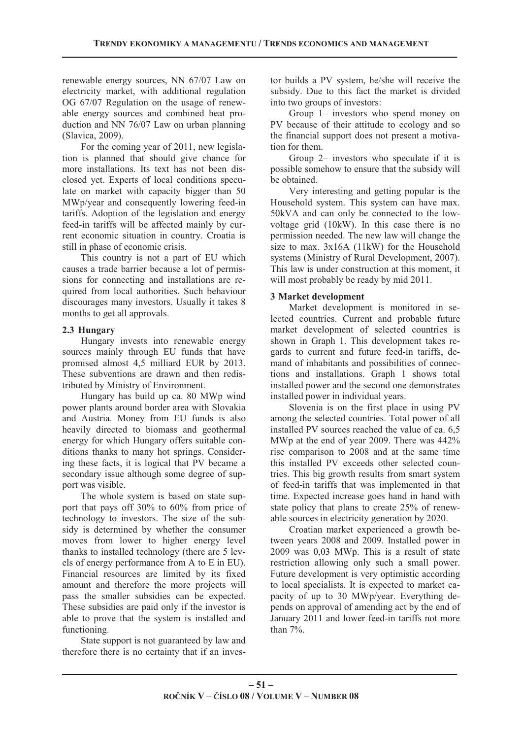renewable energy sources, NN 67/07 Law on electricity market, with additional regulation OG 67/07 Regulation on the usage of renewable energy sources and combined heat production and NN 76/07 Law on urban planning (Slavica, 2009).

For the coming year of 2011, new legislation is planned that should give chance for more installations. Its text has not been disclosed yet. Experts of local conditions speculate on market with capacity bigger than 50 MWp/year and consequently lowering feed-in tariffs. Adoption of the legislation and energy feed-in tariffs will be affected mainly by current economic situation in country. Croatia is still in phase of economic crisis.

This country is not a part of EU which causes a trade barrier because a lot of permissions for connecting and installations are required from local authorities. Such behaviour discourages many investors. Usually it takes 8 months to get all approvals.

## **2.3 Hungary**

Hungary invests into renewable energy sources mainly through EU funds that have promised almost 4,5 milliard EUR by 2013. These subventions are drawn and then redistributed by Ministry of Environment.

Hungary has build up ca. 80 MWp wind power plants around border area with Slovakia and Austria. Money from EU funds is also heavily directed to biomass and geothermal energy for which Hungary offers suitable conditions thanks to many hot springs. Considering these facts, it is logical that PV became a secondary issue although some degree of support was visible.

The whole system is based on state support that pays off 30% to 60% from price of technology to investors. The size of the subsidy is determined by whether the consumer moves from lower to higher energy level thanks to installed technology (there are 5 levels of energy performance from A to E in EU). Financial resources are limited by its fixed amount and therefore the more projects will pass the smaller subsidies can be expected. These subsidies are paid only if the investor is able to prove that the system is installed and functioning.

State support is not guaranteed by law and therefore there is no certainty that if an investor builds a PV system, he/she will receive the subsidy. Due to this fact the market is divided into two groups of investors:

Group 1– investors who spend money on PV because of their attitude to ecology and so the financial support does not present a motivation for them.

Group 2– investors who speculate if it is possible somehow to ensure that the subsidy will be obtained.

Very interesting and getting popular is the Household system. This system can have max. 50kVA and can only be connected to the lowvoltage grid (10kW). In this case there is no permission needed. The new law will change the size to max. 3x16A (11kW) for the Household systems (Ministry of Rural Development, 2007). This law is under construction at this moment, it will most probably be ready by mid 2011.

## **3 Market development**

Market development is monitored in selected countries. Current and probable future market development of selected countries is shown in Graph 1. This development takes regards to current and future feed-in tariffs, demand of inhabitants and possibilities of connections and installations. Graph 1 shows total installed power and the second one demonstrates installed power in individual years.

Slovenia is on the first place in using PV among the selected countries. Total power of all installed PV sources reached the value of ca. 6,5 MWp at the end of year 2009. There was 442% rise comparison to 2008 and at the same time this installed PV exceeds other selected countries. This big growth results from smart system of feed-in tariffs that was implemented in that time. Expected increase goes hand in hand with state policy that plans to create 25% of renewable sources in electricity generation by 2020.

Croatian market experienced a growth between years 2008 and 2009. Installed power in 2009 was 0,03 MWp. This is a result of state restriction allowing only such a small power. Future development is very optimistic according to local specialists. It is expected to market capacity of up to 30 MWp/year. Everything depends on approval of amending act by the end of January 2011 and lower feed-in tariffs not more than 7%.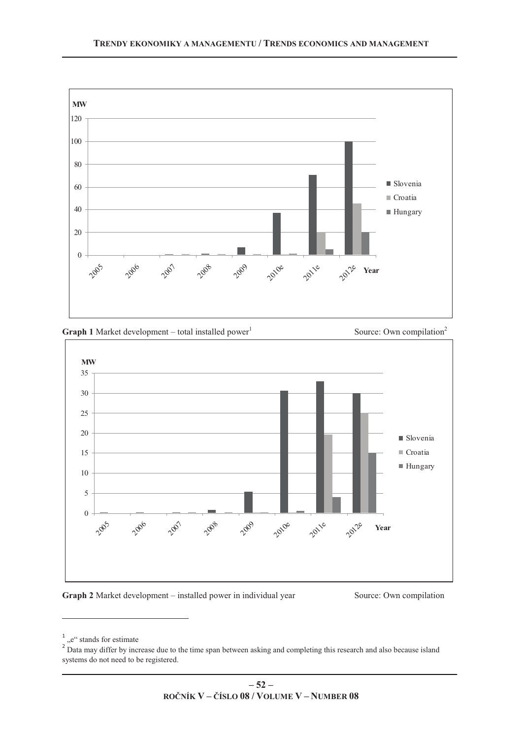



#### **Graph 2** Market development – installed power in individual year Source: Own compilation

<u> 1989 - Johann Barn, mars ann an t-Aonaich an t-Aonaich an t-Aonaich an t-Aonaich an t-Aonaich ann an t-Aonaich</u>

 $1^{\circ}$ ,,e" stands for estimate

 $2^{2}$  Data may differ by increase due to the time span between asking and completing this research and also because island systems do not need to be registered.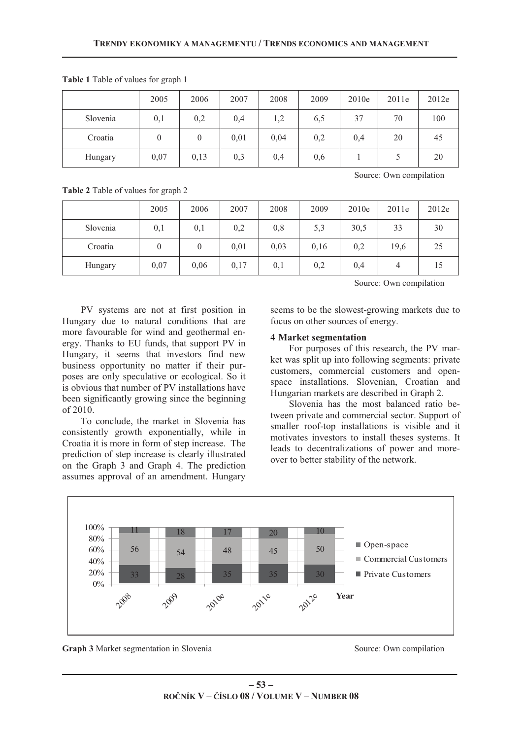|          | 2005             | 2006     | 2007 | 2008 | 2009 | 2010e | 2011e | 2012e |
|----------|------------------|----------|------|------|------|-------|-------|-------|
| Slovenia | 0,1              | 0,2      | 0,4  | 1,2  | 6,5  | 37    | 70    | 100   |
| Croatia  | $\boldsymbol{0}$ | $\theta$ | 0,01 | 0,04 | 0,2  | 0,4   | 20    | 45    |
| Hungary  | 0,07             | 0,13     | 0,3  | 0,4  | 0,6  |       |       | 20    |

**Table 1** Table of values for graph 1

**Table 2** Table of values for graph 2

|          | 2005     | 2006 | 2007 | 2008 | 2009 | 2010e | 2011e | 2012e |
|----------|----------|------|------|------|------|-------|-------|-------|
| Slovenia | 0,1      | 0,1  | 0,2  | 0,8  | 5,3  | 30,5  | 33    | 30    |
| Croatia  | $\theta$ | 0    | 0,01 | 0,03 | 0,16 | 0,2   | 19,6  | 25    |
| Hungary  | 0,07     | 0,06 | 0,17 | 0,1  | 0,2  | 0,4   |       | 15    |

Source: Own compilation

Source: Own compilation

PV systems are not at first position in Hungary due to natural conditions that are more favourable for wind and geothermal energy. Thanks to EU funds, that support PV in Hungary, it seems that investors find new business opportunity no matter if their purposes are only speculative or ecological. So it is obvious that number of PV installations have been significantly growing since the beginning of 2010.

To conclude, the market in Slovenia has consistently growth exponentially, while in Croatia it is more in form of step increase. The prediction of step increase is clearly illustrated on the Graph 3 and Graph 4. The prediction assumes approval of an amendment. Hungary

seems to be the slowest-growing markets due to focus on other sources of energy.

## **4 Market segmentation**

For purposes of this research, the PV market was split up into following segments: private customers, commercial customers and openspace installations. Slovenian, Croatian and Hungarian markets are described in Graph 2.

Slovenia has the most balanced ratio between private and commercial sector. Support of smaller roof-top installations is visible and it motivates investors to install theses systems. It leads to decentralizations of power and moreover to better stability of the network.



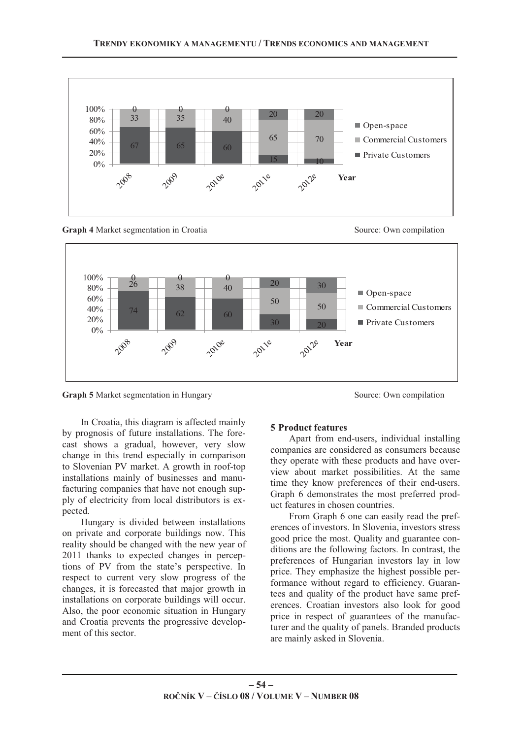







**Graph 5** Market segmentation in Hungary Source: Own compilation

In Croatia, this diagram is affected mainly by prognosis of future installations. The forecast shows a gradual, however, very slow change in this trend especially in comparison to Slovenian PV market. A growth in roof-top installations mainly of businesses and manufacturing companies that have not enough supply of electricity from local distributors is expected.

Hungary is divided between installations on private and corporate buildings now. This reality should be changed with the new year of 2011 thanks to expected changes in perceptions of PV from the state's perspective. In respect to current very slow progress of the changes, it is forecasted that major growth in installations on corporate buildings will occur. Also, the poor economic situation in Hungary and Croatia prevents the progressive development of this sector.

#### **5 Product features**

Apart from end-users, individual installing companies are considered as consumers because they operate with these products and have overview about market possibilities. At the same time they know preferences of their end-users. Graph 6 demonstrates the most preferred product features in chosen countries.

From Graph 6 one can easily read the preferences of investors. In Slovenia, investors stress good price the most. Quality and guarantee conditions are the following factors. In contrast, the preferences of Hungarian investors lay in low price. They emphasize the highest possible performance without regard to efficiency. Guarantees and quality of the product have same preferences. Croatian investors also look for good price in respect of guarantees of the manufacturer and the quality of panels. Branded products are mainly asked in Slovenia.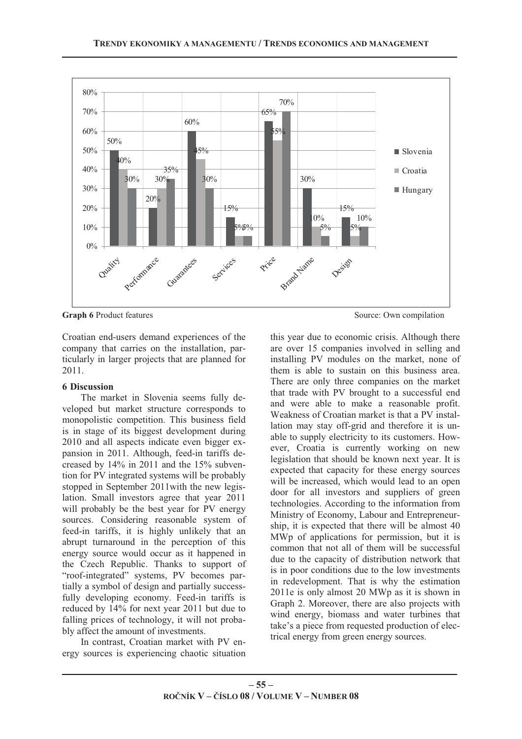

**Graph 6** Product features Source: Own compilation

Croatian end-users demand experiences of the company that carries on the installation, particularly in larger projects that are planned for 2011.

## **6 Discussion**

The market in Slovenia seems fully developed but market structure corresponds to monopolistic competition. This business field is in stage of its biggest development during 2010 and all aspects indicate even bigger expansion in 2011. Although, feed-in tariffs decreased by 14% in 2011 and the 15% subvention for PV integrated systems will be probably stopped in September 2011with the new legislation. Small investors agree that year 2011 will probably be the best year for PV energy sources. Considering reasonable system of feed-in tariffs, it is highly unlikely that an abrupt turnaround in the perception of this energy source would occur as it happened in the Czech Republic. Thanks to support of "roof-integrated" systems, PV becomes partially a symbol of design and partially successfully developing economy. Feed-in tariffs is reduced by 14% for next year 2011 but due to falling prices of technology, it will not probably affect the amount of investments.

In contrast, Croatian market with PV energy sources is experiencing chaotic situation

this year due to economic crisis. Although there are over 15 companies involved in selling and installing PV modules on the market, none of them is able to sustain on this business area. There are only three companies on the market that trade with PV brought to a successful end and were able to make a reasonable profit. Weakness of Croatian market is that a PV installation may stay off-grid and therefore it is unable to supply electricity to its customers. However, Croatia is currently working on new legislation that should be known next year. It is expected that capacity for these energy sources will be increased, which would lead to an open door for all investors and suppliers of green technologies. According to the information from Ministry of Economy, Labour and Entrepreneurship, it is expected that there will be almost 40 MWp of applications for permission, but it is common that not all of them will be successful due to the capacity of distribution network that is in poor conditions due to the low investments in redevelopment. That is why the estimation 2011e is only almost 20 MWp as it is shown in Graph 2. Moreover, there are also projects with wind energy, biomass and water turbines that take's a piece from requested production of electrical energy from green energy sources.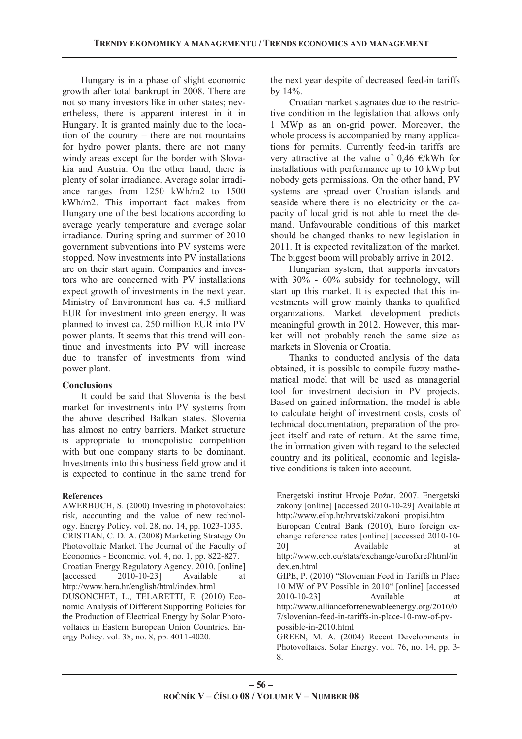Hungary is in a phase of slight economic growth after total bankrupt in 2008. There are not so many investors like in other states; nevertheless, there is apparent interest in it in Hungary. It is granted mainly due to the location of the country – there are not mountains for hydro power plants, there are not many windy areas except for the border with Slovakia and Austria. On the other hand, there is plenty of solar irradiance. Average solar irradiance ranges from 1250 kWh/m2 to 1500 kWh/m2. This important fact makes from Hungary one of the best locations according to average yearly temperature and average solar irradiance. During spring and summer of 2010 government subventions into PV systems were stopped. Now investments into PV installations are on their start again. Companies and investors who are concerned with PV installations expect growth of investments in the next year. Ministry of Environment has ca. 4,5 milliard EUR for investment into green energy. It was planned to invest ca. 250 million EUR into PV power plants. It seems that this trend will continue and investments into PV will increase due to transfer of investments from wind power plant.

## **Conclusions**

It could be said that Slovenia is the best market for investments into PV systems from the above described Balkan states. Slovenia has almost no entry barriers. Market structure is appropriate to monopolistic competition with but one company starts to be dominant. Investments into this business field grow and it is expected to continue in the same trend for

#### **References**

AWERBUCH, S. (2000) Investing in photovoltaics: risk, accounting and the value of new technology. Energy Policy. vol. 28, no. 14, pp. 1023-1035. CRISTIAN, C. D. A. (2008) Marketing Strategy On Photovoltaic Market. The Journal of the Faculty of Economics - Economic. vol. 4, no. 1, pp. 822-827. Croatian Energy Regulatory Agency. 2010. [online] [accessed 2010-10-23] Available at http://www.hera.hr/english/html/index.html DUSONCHET, L., TELARETTI, E. (2010) Economic Analysis of Different Supporting Policies for the Production of Electrical Energy by Solar Photovoltaics in Eastern European Union Countries. Energy Policy. vol. 38, no. 8, pp. 4011-4020.

the next year despite of decreased feed-in tariffs by 14%.

Croatian market stagnates due to the restrictive condition in the legislation that allows only 1 MWp as an on-grid power. Moreover, the whole process is accompanied by many applications for permits. Currently feed-in tariffs are very attractive at the value of 0,46  $\varepsilon$ /kWh for installations with performance up to 10 kWp but nobody gets permissions. On the other hand, PV systems are spread over Croatian islands and seaside where there is no electricity or the capacity of local grid is not able to meet the demand. Unfavourable conditions of this market should be changed thanks to new legislation in 2011. It is expected revitalization of the market. The biggest boom will probably arrive in 2012.

Hungarian system, that supports investors with 30% - 60% subsidy for technology, will start up this market. It is expected that this investments will grow mainly thanks to qualified organizations. Market development predicts meaningful growth in 2012. However, this market will not probably reach the same size as markets in Slovenia or Croatia.

Thanks to conducted analysis of the data obtained, it is possible to compile fuzzy mathematical model that will be used as managerial tool for investment decision in PV projects. Based on gained information, the model is able to calculate height of investment costs, costs of technical documentation, preparation of the project itself and rate of return. At the same time, the information given with regard to the selected country and its political, economic and legislative conditions is taken into account.

Energetski institut Hrvoje Požar. 2007. Energetski zakony [online] [accessed 2010-10-29] Available at http://www.eihp.hr/hrvatski/zakoni\_propisi.htm European Central Bank (2010), Euro foreign exchange reference rates [online] [accessed 2010-10- 20] Available at http://www.ecb.eu/stats/exchange/eurofxref/html/in dex.en.html GIPE, P. (2010) "Slovenian Feed in Tariffs in Place 10 MW of PV Possible in 2010" [online] [accessed 2010-10-23] Available at http://www.allianceforrenewableenergy.org/2010/0 7/slovenian-feed-in-tariffs-in-place-10-mw-of-pvpossible-in-2010.html GREEN, M. A. (2004) Recent Developments in Photovoltaics. Solar Energy. vol. 76, no. 14, pp. 3- 8.